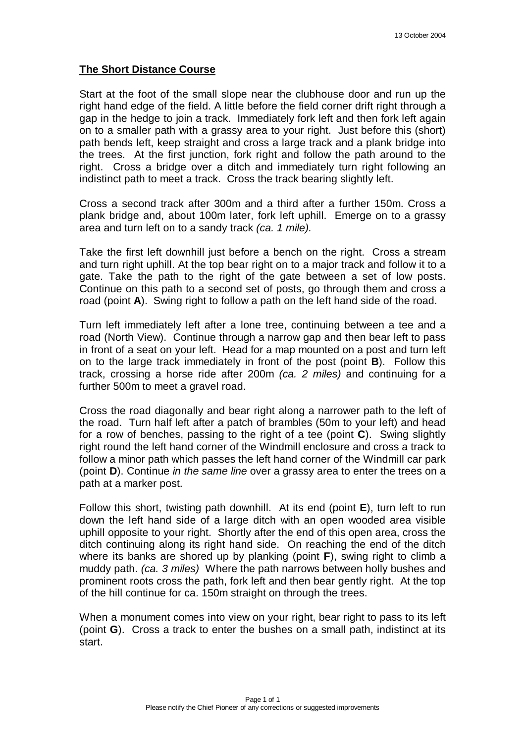## **The Short Distance Course**

Start at the foot of the small slope near the clubhouse door and run up the right hand edge of the field. A little before the field corner drift right through a gap in the hedge to join a track. Immediately fork left and then fork left again on to a smaller path with a grassy area to your right. Just before this (short) path bends left, keep straight and cross a large track and a plank bridge into the trees. At the first junction, fork right and follow the path around to the right. Cross a bridge over a ditch and immediately turn right following an indistinct path to meet a track. Cross the track bearing slightly left.

Cross a second track after 300m and a third after a further 150m. Cross a plank bridge and, about 100m later, fork left uphill. Emerge on to a grassy area and turn left on to a sandy track (ca. 1 mile).

Take the first left downhill just before a bench on the right. Cross a stream and turn right uphill. At the top bear right on to a major track and follow it to a gate. Take the path to the right of the gate between a set of low posts. Continue on this path to a second set of posts, go through them and cross a road (point **A**). Swing right to follow a path on the left hand side of the road.

Turn left immediately left after a lone tree, continuing between a tee and a road (North View). Continue through a narrow gap and then bear left to pass in front of a seat on your left. Head for a map mounted on a post and turn left on to the large track immediately in front of the post (point **B**). Follow this track, crossing a horse ride after 200m (ca. 2 miles) and continuing for a further 500m to meet a gravel road.

Cross the road diagonally and bear right along a narrower path to the left of the road. Turn half left after a patch of brambles (50m to your left) and head for a row of benches, passing to the right of a tee (point **C**). Swing slightly right round the left hand corner of the Windmill enclosure and cross a track to follow a minor path which passes the left hand corner of the Windmill car park (point **D**). Continue in the same line over a grassy area to enter the trees on a path at a marker post.

Follow this short, twisting path downhill. At its end (point **E**), turn left to run down the left hand side of a large ditch with an open wooded area visible uphill opposite to your right. Shortly after the end of this open area, cross the ditch continuing along its right hand side. On reaching the end of the ditch where its banks are shored up by planking (point **F**), swing right to climb a muddy path. (ca. 3 miles) Where the path narrows between holly bushes and prominent roots cross the path, fork left and then bear gently right. At the top of the hill continue for ca. 150m straight on through the trees.

When a monument comes into view on your right, bear right to pass to its left (point **G**). Cross a track to enter the bushes on a small path, indistinct at its start.